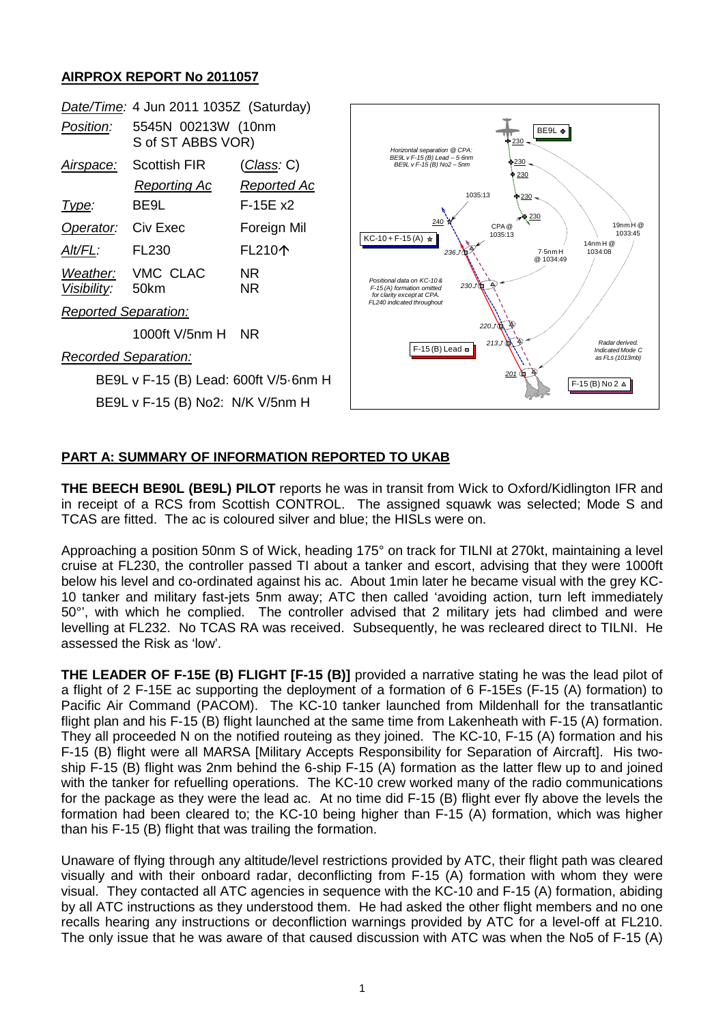## **AIRPROX REPORT No 2011057**



## **PART A: SUMMARY OF INFORMATION REPORTED TO UKAB**

**THE BEECH BE90L (BE9L) PILOT** reports he was in transit from Wick to Oxford/Kidlington IFR and in receipt of a RCS from Scottish CONTROL. The assigned squawk was selected; Mode S and TCAS are fitted. The ac is coloured silver and blue; the HISLs were on.

Approaching a position 50nm S of Wick, heading 175° on track for TILNI at 270kt, maintaining a level cruise at FL230, the controller passed TI about a tanker and escort, advising that they were 1000ft below his level and co-ordinated against his ac. About 1min later he became visual with the grey KC-10 tanker and military fast-jets 5nm away; ATC then called 'avoiding action, turn left immediately 50°', with which he complied. The controller advised that 2 military jets had climbed and were levelling at FL232. No TCAS RA was received. Subsequently, he was recleared direct to TILNI. He assessed the Risk as 'low'.

**THE LEADER OF F-15E (B) FLIGHT [F-15 (B)]** provided a narrative stating he was the lead pilot of a flight of 2 F-15E ac supporting the deployment of a formation of 6 F-15Es (F-15 (A) formation) to Pacific Air Command (PACOM). The KC-10 tanker launched from Mildenhall for the transatlantic flight plan and his F-15 (B) flight launched at the same time from Lakenheath with F-15 (A) formation. They all proceeded N on the notified routeing as they joined. The KC-10, F-15 (A) formation and his F-15 (B) flight were all MARSA [Military Accepts Responsibility for Separation of Aircraft]. His twoship F-15 (B) flight was 2nm behind the 6-ship F-15 (A) formation as the latter flew up to and joined with the tanker for refuelling operations. The KC-10 crew worked many of the radio communications for the package as they were the lead ac. At no time did F-15 (B) flight ever fly above the levels the formation had been cleared to; the KC-10 being higher than F-15 (A) formation, which was higher than his F-15 (B) flight that was trailing the formation.

Unaware of flying through any altitude/level restrictions provided by ATC, their flight path was cleared visually and with their onboard radar, deconflicting from F-15 (A) formation with whom they were visual. They contacted all ATC agencies in sequence with the KC-10 and F-15 (A) formation, abiding by all ATC instructions as they understood them. He had asked the other flight members and no one recalls hearing any instructions or deconfliction warnings provided by ATC for a level-off at FL210. The only issue that he was aware of that caused discussion with ATC was when the No5 of F-15 (A)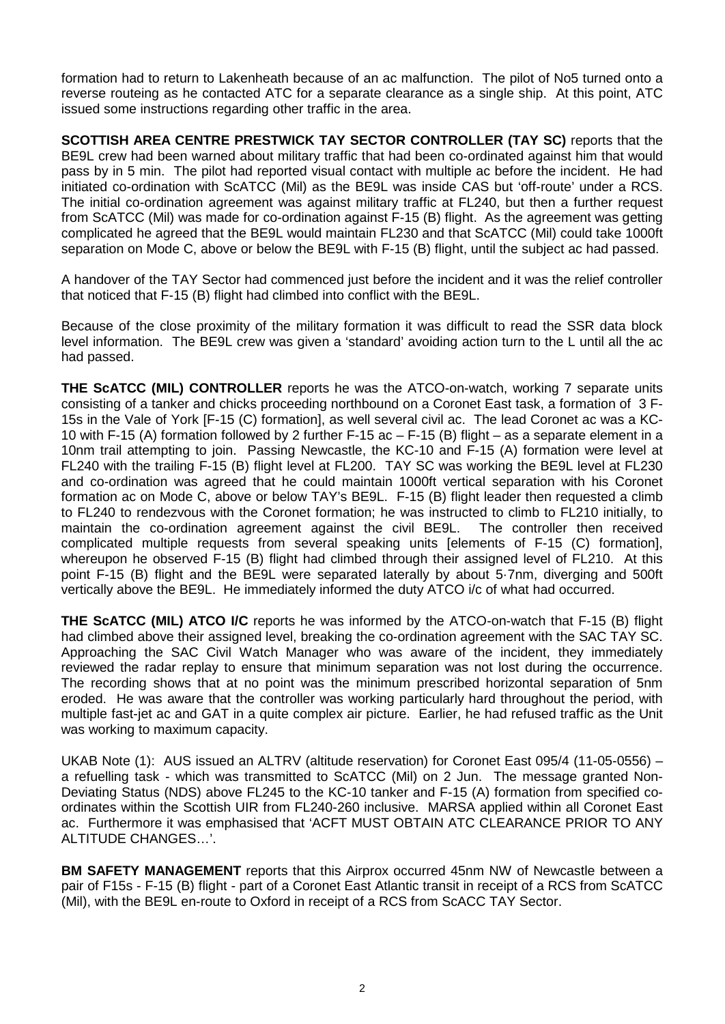formation had to return to Lakenheath because of an ac malfunction. The pilot of No5 turned onto a reverse routeing as he contacted ATC for a separate clearance as a single ship. At this point, ATC issued some instructions regarding other traffic in the area.

**SCOTTISH AREA CENTRE PRESTWICK TAY SECTOR CONTROLLER (TAY SC)** reports that the BE9L crew had been warned about military traffic that had been co-ordinated against him that would pass by in 5 min. The pilot had reported visual contact with multiple ac before the incident. He had initiated co-ordination with ScATCC (Mil) as the BE9L was inside CAS but 'off-route' under a RCS. The initial co-ordination agreement was against military traffic at FL240, but then a further request from ScATCC (Mil) was made for co-ordination against F-15 (B) flight. As the agreement was getting complicated he agreed that the BE9L would maintain FL230 and that ScATCC (Mil) could take 1000ft separation on Mode C, above or below the BE9L with F-15 (B) flight, until the subject ac had passed.

A handover of the TAY Sector had commenced just before the incident and it was the relief controller that noticed that F-15 (B) flight had climbed into conflict with the BE9L.

Because of the close proximity of the military formation it was difficult to read the SSR data block level information. The BE9L crew was given a 'standard' avoiding action turn to the L until all the ac had passed.

**THE ScATCC (MIL) CONTROLLER** reports he was the ATCO-on-watch, working 7 separate units consisting of a tanker and chicks proceeding northbound on a Coronet East task, a formation of 3 F-15s in the Vale of York [F-15 (C) formation], as well several civil ac. The lead Coronet ac was a KC-10 with F-15 (A) formation followed by 2 further F-15 ac – F-15 (B) flight – as a separate element in a 10nm trail attempting to join. Passing Newcastle, the KC-10 and F-15 (A) formation were level at FL240 with the trailing F-15 (B) flight level at FL200. TAY SC was working the BE9L level at FL230 and co-ordination was agreed that he could maintain 1000ft vertical separation with his Coronet formation ac on Mode C, above or below TAY's BE9L. F-15 (B) flight leader then requested a climb to FL240 to rendezvous with the Coronet formation; he was instructed to climb to FL210 initially, to maintain the co-ordination agreement against the civil BE9L. The controller then received complicated multiple requests from several speaking units [elements of F-15 (C) formation], whereupon he observed F-15 (B) flight had climbed through their assigned level of FL210. At this point F-15 (B) flight and the BE9L were separated laterally by about 5·7nm, diverging and 500ft vertically above the BE9L. He immediately informed the duty ATCO i/c of what had occurred.

**THE ScATCC (MIL) ATCO I/C** reports he was informed by the ATCO-on-watch that F-15 (B) flight had climbed above their assigned level, breaking the co-ordination agreement with the SAC TAY SC. Approaching the SAC Civil Watch Manager who was aware of the incident, they immediately reviewed the radar replay to ensure that minimum separation was not lost during the occurrence. The recording shows that at no point was the minimum prescribed horizontal separation of 5nm eroded. He was aware that the controller was working particularly hard throughout the period, with multiple fast-jet ac and GAT in a quite complex air picture. Earlier, he had refused traffic as the Unit was working to maximum capacity.

UKAB Note (1): AUS issued an ALTRV (altitude reservation) for Coronet East 095/4 (11-05-0556) – a refuelling task - which was transmitted to ScATCC (Mil) on 2 Jun. The message granted Non-Deviating Status (NDS) above FL245 to the KC-10 tanker and F-15 (A) formation from specified coordinates within the Scottish UIR from FL240-260 inclusive. MARSA applied within all Coronet East ac. Furthermore it was emphasised that 'ACFT MUST OBTAIN ATC CLEARANCE PRIOR TO ANY ALTITUDE CHANGES…'.

**BM SAFETY MANAGEMENT** reports that this Airprox occurred 45nm NW of Newcastle between a pair of F15s - F-15 (B) flight - part of a Coronet East Atlantic transit in receipt of a RCS from ScATCC (Mil), with the BE9L en-route to Oxford in receipt of a RCS from ScACC TAY Sector.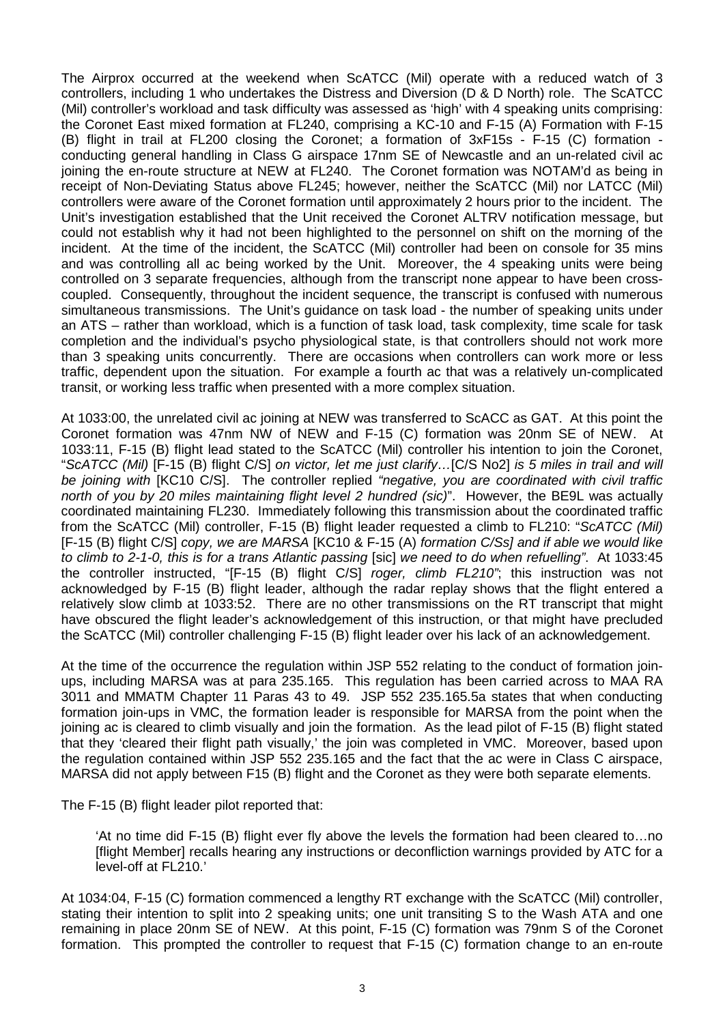The Airprox occurred at the weekend when ScATCC (Mil) operate with a reduced watch of 3 controllers, including 1 who undertakes the Distress and Diversion (D & D North) role. The ScATCC (Mil) controller's workload and task difficulty was assessed as 'high' with 4 speaking units comprising: the Coronet East mixed formation at FL240, comprising a KC-10 and F-15 (A) Formation with F-15 (B) flight in trail at FL200 closing the Coronet; a formation of 3xF15s - F-15 (C) formation conducting general handling in Class G airspace 17nm SE of Newcastle and an un-related civil ac joining the en-route structure at NEW at FL240. The Coronet formation was NOTAM'd as being in receipt of Non-Deviating Status above FL245; however, neither the ScATCC (Mil) nor LATCC (Mil) controllers were aware of the Coronet formation until approximately 2 hours prior to the incident. The Unit's investigation established that the Unit received the Coronet ALTRV notification message, but could not establish why it had not been highlighted to the personnel on shift on the morning of the incident. At the time of the incident, the ScATCC (Mil) controller had been on console for 35 mins and was controlling all ac being worked by the Unit. Moreover, the 4 speaking units were being controlled on 3 separate frequencies, although from the transcript none appear to have been crosscoupled. Consequently, throughout the incident sequence, the transcript is confused with numerous simultaneous transmissions. The Unit's guidance on task load - the number of speaking units under an ATS – rather than workload, which is a function of task load, task complexity, time scale for task completion and the individual's psycho physiological state, is that controllers should not work more than 3 speaking units concurrently. There are occasions when controllers can work more or less traffic, dependent upon the situation. For example a fourth ac that was a relatively un-complicated transit, or working less traffic when presented with a more complex situation.

At 1033:00, the unrelated civil ac joining at NEW was transferred to ScACC as GAT. At this point the Coronet formation was 47nm NW of NEW and F-15 (C) formation was 20nm SE of NEW. At 1033:11, F-15 (B) flight lead stated to the ScATCC (Mil) controller his intention to join the Coronet, "*ScATCC (Mil)* [F-15 (B) flight C/S] *on victor, let me just clarify…*[C/S No2] *is 5 miles in trail and will be joining with* [KC10 C/S]. The controller replied *"negative, you are coordinated with civil traffic north of you by 20 miles maintaining flight level 2 hundred (sic)*". However, the BE9L was actually coordinated maintaining FL230. Immediately following this transmission about the coordinated traffic from the ScATCC (Mil) controller, F-15 (B) flight leader requested a climb to FL210: "*ScATCC (Mil)*  [F-15 (B) flight C/S] *copy, we are MARSA* [KC10 & F-15 (A) *formation C/Ss] and if able we would like to climb to 2-1-0, this is for a trans Atlantic passing* [sic] *we need to do when refuelling"*. At 1033:45 the controller instructed, "[F-15 (B) flight C/S] *roger, climb FL210"*; this instruction was not acknowledged by F-15 (B) flight leader, although the radar replay shows that the flight entered a relatively slow climb at 1033:52. There are no other transmissions on the RT transcript that might have obscured the flight leader's acknowledgement of this instruction, or that might have precluded the ScATCC (Mil) controller challenging F-15 (B) flight leader over his lack of an acknowledgement.

At the time of the occurrence the regulation within JSP 552 relating to the conduct of formation joinups, including MARSA was at para 235.165. This regulation has been carried across to MAA RA 3011 and MMATM Chapter 11 Paras 43 to 49. JSP 552 235.165.5a states that when conducting formation join-ups in VMC, the formation leader is responsible for MARSA from the point when the joining ac is cleared to climb visually and join the formation. As the lead pilot of F-15 (B) flight stated that they 'cleared their flight path visually,' the join was completed in VMC. Moreover, based upon the regulation contained within JSP 552 235.165 and the fact that the ac were in Class C airspace, MARSA did not apply between F15 (B) flight and the Coronet as they were both separate elements.

The F-15 (B) flight leader pilot reported that:

'At no time did F-15 (B) flight ever fly above the levels the formation had been cleared to…no [flight Member] recalls hearing any instructions or deconfliction warnings provided by ATC for a level-off at FL210.'

At 1034:04, F-15 (C) formation commenced a lengthy RT exchange with the ScATCC (Mil) controller, stating their intention to split into 2 speaking units; one unit transiting S to the Wash ATA and one remaining in place 20nm SE of NEW. At this point, F-15 (C) formation was 79nm S of the Coronet formation. This prompted the controller to request that F-15 (C) formation change to an en-route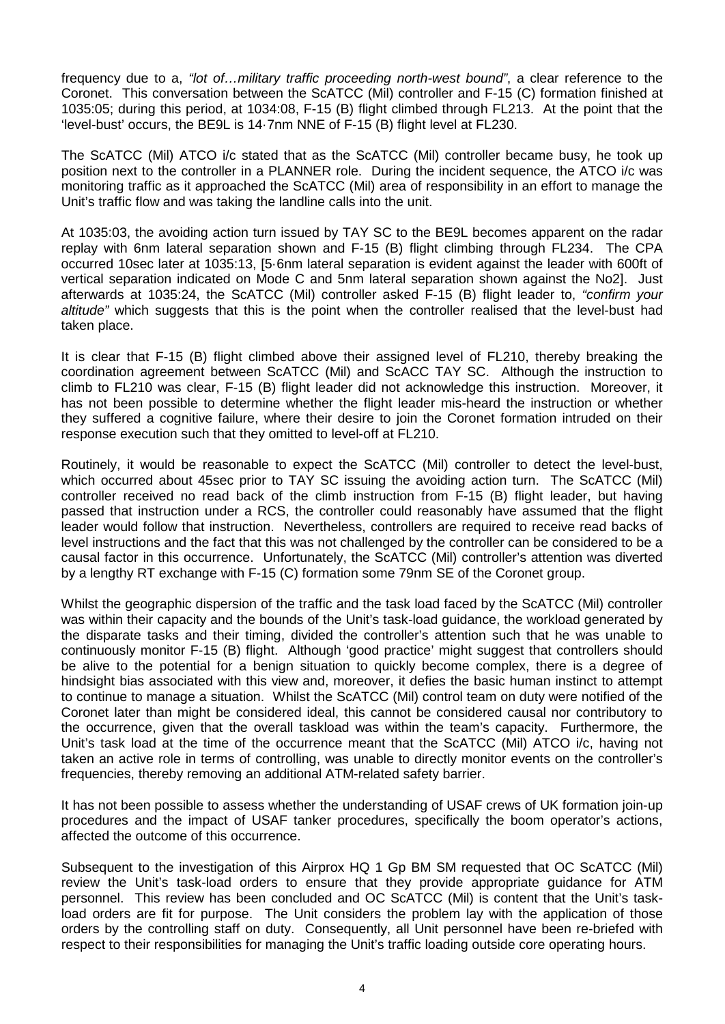frequency due to a, *"lot of…military traffic proceeding north-west bound"*, a clear reference to the Coronet. This conversation between the ScATCC (Mil) controller and F-15 (C) formation finished at 1035:05; during this period, at 1034:08, F-15 (B) flight climbed through FL213. At the point that the 'level-bust' occurs, the BE9L is 14·7nm NNE of F-15 (B) flight level at FL230.

The ScATCC (Mil) ATCO i/c stated that as the ScATCC (Mil) controller became busy, he took up position next to the controller in a PLANNER role. During the incident sequence, the ATCO i/c was monitoring traffic as it approached the ScATCC (Mil) area of responsibility in an effort to manage the Unit's traffic flow and was taking the landline calls into the unit.

At 1035:03, the avoiding action turn issued by TAY SC to the BE9L becomes apparent on the radar replay with 6nm lateral separation shown and F-15 (B) flight climbing through FL234. The CPA occurred 10sec later at 1035:13, [5·6nm lateral separation is evident against the leader with 600ft of vertical separation indicated on Mode C and 5nm lateral separation shown against the No2]. Just afterwards at 1035:24, the ScATCC (Mil) controller asked F-15 (B) flight leader to, *"confirm your altitude"* which suggests that this is the point when the controller realised that the level-bust had taken place.

It is clear that F-15 (B) flight climbed above their assigned level of FL210, thereby breaking the coordination agreement between ScATCC (Mil) and ScACC TAY SC. Although the instruction to climb to FL210 was clear, F-15 (B) flight leader did not acknowledge this instruction. Moreover, it has not been possible to determine whether the flight leader mis-heard the instruction or whether they suffered a cognitive failure, where their desire to join the Coronet formation intruded on their response execution such that they omitted to level-off at FL210.

Routinely, it would be reasonable to expect the ScATCC (Mil) controller to detect the level-bust, which occurred about 45sec prior to TAY SC issuing the avoiding action turn. The ScATCC (Mil) controller received no read back of the climb instruction from F-15 (B) flight leader, but having passed that instruction under a RCS, the controller could reasonably have assumed that the flight leader would follow that instruction. Nevertheless, controllers are required to receive read backs of level instructions and the fact that this was not challenged by the controller can be considered to be a causal factor in this occurrence. Unfortunately, the ScATCC (Mil) controller's attention was diverted by a lengthy RT exchange with F-15 (C) formation some 79nm SE of the Coronet group.

Whilst the geographic dispersion of the traffic and the task load faced by the ScATCC (Mil) controller was within their capacity and the bounds of the Unit's task-load guidance, the workload generated by the disparate tasks and their timing, divided the controller's attention such that he was unable to continuously monitor F-15 (B) flight. Although 'good practice' might suggest that controllers should be alive to the potential for a benign situation to quickly become complex, there is a degree of hindsight bias associated with this view and, moreover, it defies the basic human instinct to attempt to continue to manage a situation. Whilst the ScATCC (Mil) control team on duty were notified of the Coronet later than might be considered ideal, this cannot be considered causal nor contributory to the occurrence, given that the overall taskload was within the team's capacity. Furthermore, the Unit's task load at the time of the occurrence meant that the ScATCC (Mil) ATCO i/c, having not taken an active role in terms of controlling, was unable to directly monitor events on the controller's frequencies, thereby removing an additional ATM-related safety barrier.

It has not been possible to assess whether the understanding of USAF crews of UK formation join-up procedures and the impact of USAF tanker procedures, specifically the boom operator's actions, affected the outcome of this occurrence.

Subsequent to the investigation of this Airprox HQ 1 Gp BM SM requested that OC ScATCC (Mil) review the Unit's task-load orders to ensure that they provide appropriate guidance for ATM personnel. This review has been concluded and OC ScATCC (Mil) is content that the Unit's taskload orders are fit for purpose. The Unit considers the problem lay with the application of those orders by the controlling staff on duty. Consequently, all Unit personnel have been re-briefed with respect to their responsibilities for managing the Unit's traffic loading outside core operating hours.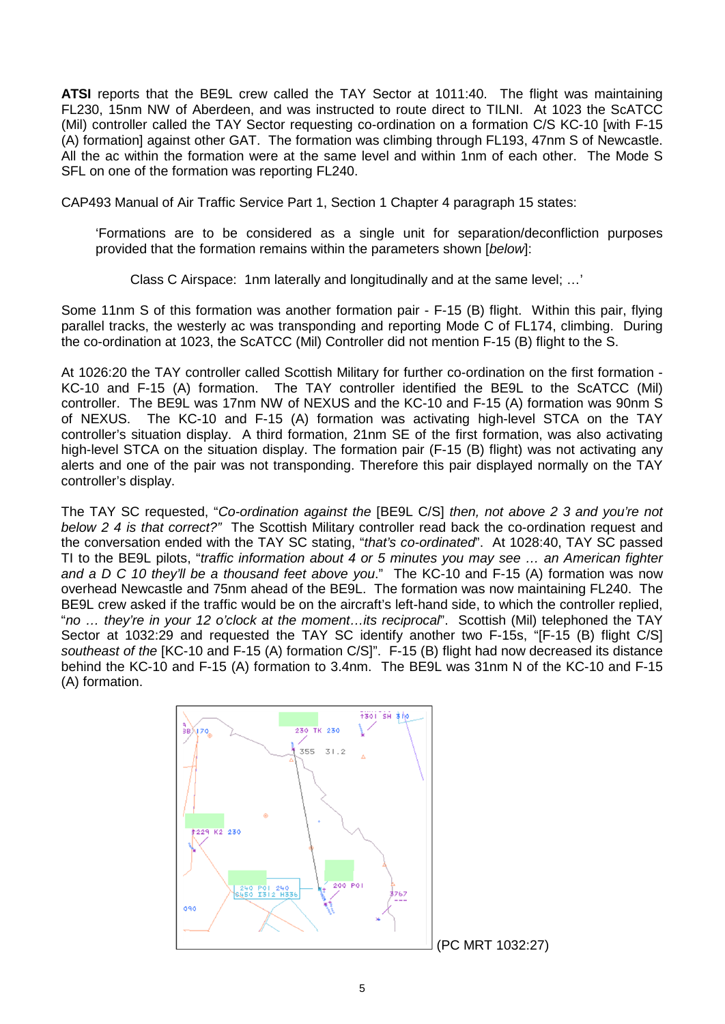**ATSI** reports that the BE9L crew called the TAY Sector at 1011:40. The flight was maintaining FL230, 15nm NW of Aberdeen, and was instructed to route direct to TILNI. At 1023 the ScATCC (Mil) controller called the TAY Sector requesting co-ordination on a formation C/S KC-10 [with F-15 (A) formation] against other GAT. The formation was climbing through FL193, 47nm S of Newcastle. All the ac within the formation were at the same level and within 1nm of each other. The Mode S SFL on one of the formation was reporting FL240.

CAP493 Manual of Air Traffic Service Part 1, Section 1 Chapter 4 paragraph 15 states:

'Formations are to be considered as a single unit for separation/deconfliction purposes provided that the formation remains within the parameters shown [*below*]:

Class C Airspace: 1nm laterally and longitudinally and at the same level; …'

Some 11nm S of this formation was another formation pair - F-15 (B) flight. Within this pair, flying parallel tracks, the westerly ac was transponding and reporting Mode C of FL174, climbing. During the co-ordination at 1023, the ScATCC (Mil) Controller did not mention F-15 (B) flight to the S.

At 1026:20 the TAY controller called Scottish Military for further co-ordination on the first formation - KC-10 and F-15 (A) formation. The TAY controller identified the BE9L to the ScATCC (Mil) controller. The BE9L was 17nm NW of NEXUS and the KC-10 and F-15 (A) formation was 90nm S of NEXUS. The KC-10 and F-15 (A) formation was activating high-level STCA on the TAY controller's situation display. A third formation, 21nm SE of the first formation, was also activating high-level STCA on the situation display. The formation pair (F-15 (B) flight) was not activating any alerts and one of the pair was not transponding. Therefore this pair displayed normally on the TAY controller's display.

The TAY SC requested, "*Co-ordination against the* [BE9L C/S] *then, not above 2 3 and you're not below 2 4 is that correct?"* The Scottish Military controller read back the co-ordination request and the conversation ended with the TAY SC stating, "*that's co-ordinated*". At 1028:40, TAY SC passed TI to the BE9L pilots, "*traffic information about 4 or 5 minutes you may see … an American fighter and a D C 10 they'll be a thousand feet above you*." The KC-10 and F-15 (A) formation was now overhead Newcastle and 75nm ahead of the BE9L. The formation was now maintaining FL240. The BE9L crew asked if the traffic would be on the aircraft's left-hand side, to which the controller replied, "*no … they're in your 12 o'clock at the moment…its reciprocal*". Scottish (Mil) telephoned the TAY Sector at 1032:29 and requested the TAY SC identify another two F-15s, "[F-15 (B) flight C/S] *southeast of the* [KC-10 and F-15 (A) formation C/S]". F-15 (B) flight had now decreased its distance behind the KC-10 and F-15 (A) formation to 3.4nm. The BE9L was 31nm N of the KC-10 and F-15 (A) formation.

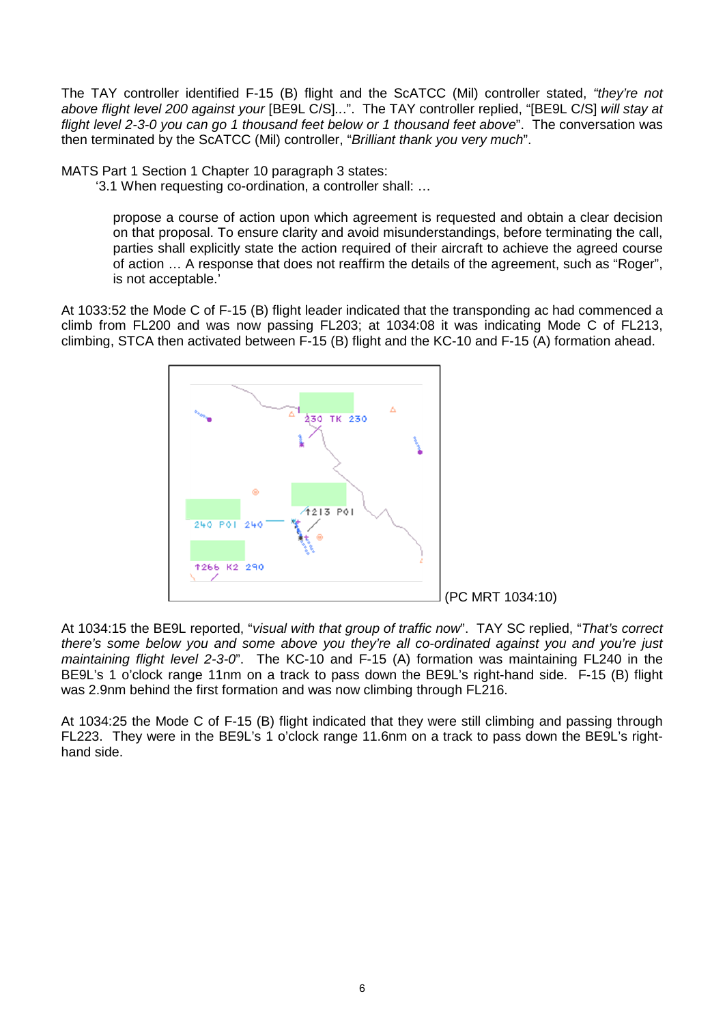The TAY controller identified F-15 (B) flight and the ScATCC (Mil) controller stated, *"they're not above flight level 200 against your* [BE9L C/S]*..*.". The TAY controller replied, "[BE9L C/S] *will stay at flight level 2-3-0 you can go 1 thousand feet below or 1 thousand feet above*". The conversation was then terminated by the ScATCC (Mil) controller, "*Brilliant thank you very much*".

MATS Part 1 Section 1 Chapter 10 paragraph 3 states:

'3.1 When requesting co-ordination, a controller shall: …

propose a course of action upon which agreement is requested and obtain a clear decision on that proposal. To ensure clarity and avoid misunderstandings, before terminating the call, parties shall explicitly state the action required of their aircraft to achieve the agreed course of action … A response that does not reaffirm the details of the agreement, such as "Roger", is not acceptable.'

At 1033:52 the Mode C of F-15 (B) flight leader indicated that the transponding ac had commenced a climb from FL200 and was now passing FL203; at 1034:08 it was indicating Mode C of FL213, climbing, STCA then activated between F-15 (B) flight and the KC-10 and F-15 (A) formation ahead.



At 1034:15 the BE9L reported, "*visual with that group of traffic now*". TAY SC replied, "*That's correct there's some below you and some above you they're all co-ordinated against you and you're just maintaining flight level 2-3-0*". The KC-10 and F-15 (A) formation was maintaining FL240 in the BE9L's 1 o'clock range 11nm on a track to pass down the BE9L's right-hand side. F-15 (B) flight was 2.9nm behind the first formation and was now climbing through FL216.

At 1034:25 the Mode C of F-15 (B) flight indicated that they were still climbing and passing through FL223. They were in the BE9L's 1 o'clock range 11.6nm on a track to pass down the BE9L's righthand side.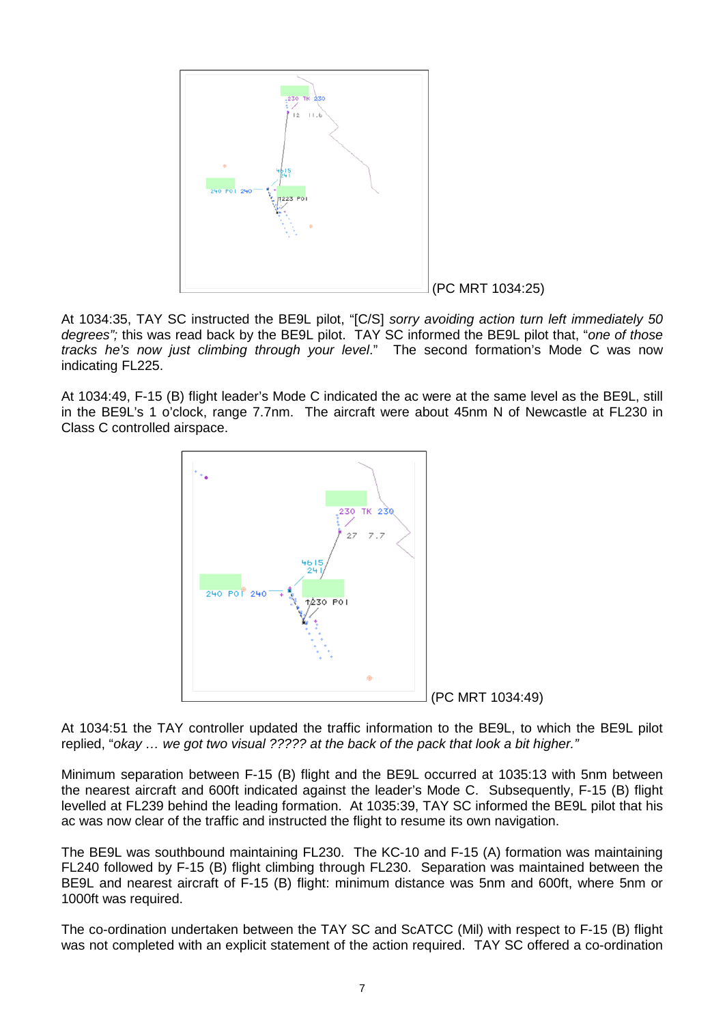

At 1034:35, TAY SC instructed the BE9L pilot, "[C/S] *sorry avoiding action turn left immediately 50 degrees";* this was read back by the BE9L pilot. TAY SC informed the BE9L pilot that, "*one of those tracks he's now just climbing through your level*." The second formation's Mode C was now indicating FL225.

At 1034:49, F-15 (B) flight leader's Mode C indicated the ac were at the same level as the BE9L, still in the BE9L's 1 o'clock, range 7.7nm. The aircraft were about 45nm N of Newcastle at FL230 in Class C controlled airspace.



At 1034:51 the TAY controller updated the traffic information to the BE9L, to which the BE9L pilot replied, "*okay … we got two visual ????? at the back of the pack that look a bit higher."*

Minimum separation between F-15 (B) flight and the BE9L occurred at 1035:13 with 5nm between the nearest aircraft and 600ft indicated against the leader's Mode C. Subsequently, F-15 (B) flight levelled at FL239 behind the leading formation. At 1035:39, TAY SC informed the BE9L pilot that his ac was now clear of the traffic and instructed the flight to resume its own navigation.

The BE9L was southbound maintaining FL230. The KC-10 and F-15 (A) formation was maintaining FL240 followed by F-15 (B) flight climbing through FL230. Separation was maintained between the BE9L and nearest aircraft of F-15 (B) flight: minimum distance was 5nm and 600ft, where 5nm or 1000ft was required.

The co-ordination undertaken between the TAY SC and ScATCC (Mil) with respect to F-15 (B) flight was not completed with an explicit statement of the action required. TAY SC offered a co-ordination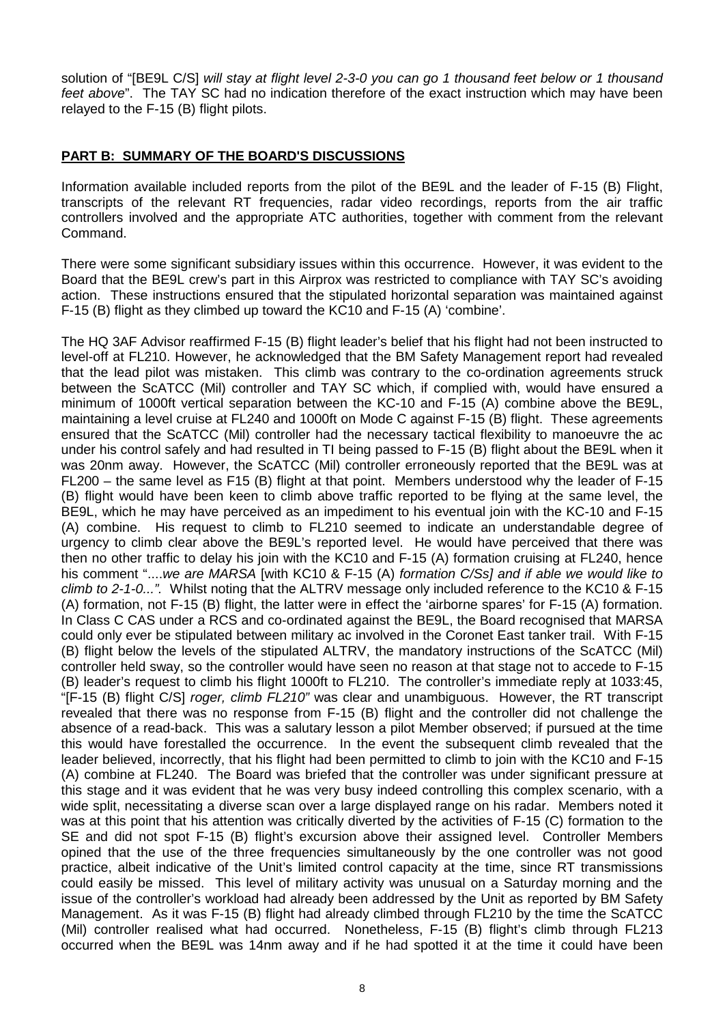solution of "[BE9L C/S] *will stay at flight level 2-3-0 you can go 1 thousand feet below or 1 thousand feet above*". The TAY SC had no indication therefore of the exact instruction which may have been relayed to the F-15 (B) flight pilots.

## **PART B: SUMMARY OF THE BOARD'S DISCUSSIONS**

Information available included reports from the pilot of the BE9L and the leader of F-15 (B) Flight, transcripts of the relevant RT frequencies, radar video recordings, reports from the air traffic controllers involved and the appropriate ATC authorities, together with comment from the relevant Command.

There were some significant subsidiary issues within this occurrence. However, it was evident to the Board that the BE9L crew's part in this Airprox was restricted to compliance with TAY SC's avoiding action. These instructions ensured that the stipulated horizontal separation was maintained against F-15 (B) flight as they climbed up toward the KC10 and F-15 (A) 'combine'.

The HQ 3AF Advisor reaffirmed F-15 (B) flight leader's belief that his flight had not been instructed to level-off at FL210. However, he acknowledged that the BM Safety Management report had revealed that the lead pilot was mistaken. This climb was contrary to the co-ordination agreements struck between the ScATCC (Mil) controller and TAY SC which, if complied with, would have ensured a minimum of 1000ft vertical separation between the KC-10 and F-15 (A) combine above the BE9L, maintaining a level cruise at FL240 and 1000ft on Mode C against F-15 (B) flight. These agreements ensured that the ScATCC (Mil) controller had the necessary tactical flexibility to manoeuvre the ac under his control safely and had resulted in TI being passed to F-15 (B) flight about the BE9L when it was 20nm away. However, the ScATCC (Mil) controller erroneously reported that the BE9L was at FL200 – the same level as F15 (B) flight at that point. Members understood why the leader of F-15 (B) flight would have been keen to climb above traffic reported to be flying at the same level, the BE9L, which he may have perceived as an impediment to his eventual join with the KC-10 and F-15 (A) combine. His request to climb to FL210 seemed to indicate an understandable degree of urgency to climb clear above the BE9L's reported level. He would have perceived that there was then no other traffic to delay his join with the KC10 and F-15 (A) formation cruising at FL240, hence his comment "....*we are MARSA* [with KC10 & F-15 (A) *formation C/Ss] and if able we would like to climb to 2-1-0...".* Whilst noting that the ALTRV message only included reference to the KC10 & F-15 (A) formation, not F-15 (B) flight, the latter were in effect the 'airborne spares' for F-15 (A) formation. In Class C CAS under a RCS and co-ordinated against the BE9L, the Board recognised that MARSA could only ever be stipulated between military ac involved in the Coronet East tanker trail. With F-15 (B) flight below the levels of the stipulated ALTRV, the mandatory instructions of the ScATCC (Mil) controller held sway, so the controller would have seen no reason at that stage not to accede to F-15 (B) leader's request to climb his flight 1000ft to FL210. The controller's immediate reply at 1033:45, "[F-15 (B) flight C/S] *roger, climb FL210"* was clear and unambiguous. However, the RT transcript revealed that there was no response from F-15 (B) flight and the controller did not challenge the absence of a read-back. This was a salutary lesson a pilot Member observed; if pursued at the time this would have forestalled the occurrence. In the event the subsequent climb revealed that the leader believed, incorrectly, that his flight had been permitted to climb to join with the KC10 and F-15 (A) combine at FL240. The Board was briefed that the controller was under significant pressure at this stage and it was evident that he was very busy indeed controlling this complex scenario, with a wide split, necessitating a diverse scan over a large displayed range on his radar. Members noted it was at this point that his attention was critically diverted by the activities of F-15 (C) formation to the SE and did not spot F-15 (B) flight's excursion above their assigned level. Controller Members opined that the use of the three frequencies simultaneously by the one controller was not good practice, albeit indicative of the Unit's limited control capacity at the time, since RT transmissions could easily be missed. This level of military activity was unusual on a Saturday morning and the issue of the controller's workload had already been addressed by the Unit as reported by BM Safety Management. As it was F-15 (B) flight had already climbed through FL210 by the time the ScATCC (Mil) controller realised what had occurred. Nonetheless, F-15 (B) flight's climb through FL213 occurred when the BE9L was 14nm away and if he had spotted it at the time it could have been